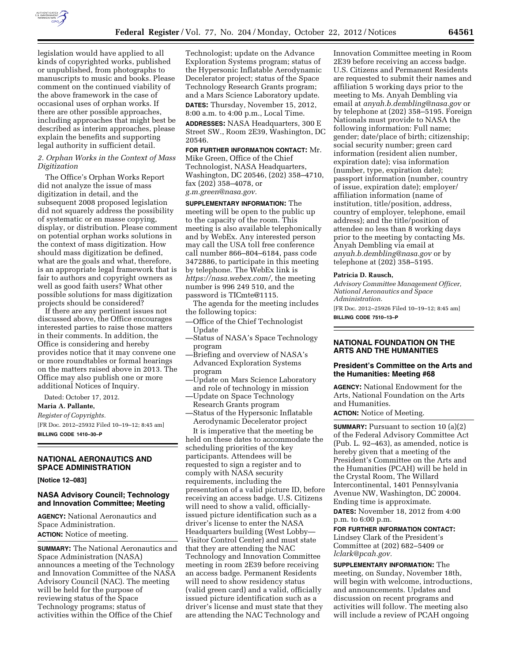

legislation would have applied to all kinds of copyrighted works, published or unpublished, from photographs to manuscripts to music and books. Please comment on the continued viability of the above framework in the case of occasional uses of orphan works. If there are other possible approaches, including approaches that might best be described as interim approaches, please explain the benefits and supporting legal authority in sufficient detail.

## *2. Orphan Works in the Context of Mass Digitization*

The Office's Orphan Works Report did not analyze the issue of mass digitization in detail, and the subsequent 2008 proposed legislation did not squarely address the possibility of systematic or en masse copying, display, or distribution. Please comment on potential orphan works solutions in the context of mass digitization. How should mass digitization be defined, what are the goals and what, therefore, is an appropriate legal framework that is fair to authors and copyright owners as well as good faith users? What other possible solutions for mass digitization projects should be considered?

If there are any pertinent issues not discussed above, the Office encourages interested parties to raise those matters in their comments. In addition, the Office is considering and hereby provides notice that it may convene one or more roundtables or formal hearings on the matters raised above in 2013. The Office may also publish one or more additional Notices of Inquiry.

Dated: October 17, 2012.

**Maria A. Pallante,**  *Register of Copyrights.*  [FR Doc. 2012–25932 Filed 10–19–12; 8:45 am]

**BILLING CODE 1410–30–P** 

## **NATIONAL AERONAUTICS AND SPACE ADMINISTRATION**

**[Notice 12–083]** 

# **NASA Advisory Council; Technology and Innovation Committee; Meeting**

**AGENCY:** National Aeronautics and Space Administration. **ACTION:** Notice of meeting.

**SUMMARY:** The National Aeronautics and Space Administration (NASA) announces a meeting of the Technology and Innovation Committee of the NASA Advisory Council (NAC). The meeting will be held for the purpose of reviewing status of the Space Technology programs; status of activities within the Office of the Chief

Technologist; update on the Advance Exploration Systems program; status of the Hypersonic Inflatable Aerodynamic Decelerator project; status of the Space Technology Research Grants program; and a Mars Science Laboratory update.

**DATES:** Thursday, November 15, 2012, 8:00 a.m. to 4:00 p.m., Local Time.

**ADDRESSES:** NASA Headquarters, 300 E Street SW., Room 2E39, Washington, DC 20546.

**FOR FURTHER INFORMATION CONTACT:** Mr. Mike Green, Office of the Chief Technologist, NASA Headquarters, Washington, DC 20546, (202) 358–4710, fax (202) 358–4078, or *[g.m.green@nasa.gov.](mailto:g.m.green@nasa.gov)* 

**SUPPLEMENTARY INFORMATION:** The meeting will be open to the public up to the capacity of the room. This meeting is also available telephonically and by WebEx. Any interested person may call the USA toll free conference call number 866–804–6184, pass code 3472886, to participate in this meeting by telephone. The WebEx link is *[https://nasa.webex.com/,](https://nasa.webex.com/)* the meeting number is 996 249 510, and the password is TICmte@1115.

The agenda for the meeting includes the following topics:

- —Office of the Chief Technologist Update
- —Status of NASA's Space Technology program
- —Briefing and overview of NASA's Advanced Exploration Systems program
- —Update on Mars Science Laboratory and role of technology in mission
- —Update on Space Technology Research Grants program
- —Status of the Hypersonic Inflatable Aerodynamic Decelerator project

It is imperative that the meeting be held on these dates to accommodate the scheduling priorities of the key participants. Attendees will be requested to sign a register and to comply with NASA security requirements, including the presentation of a valid picture ID, before receiving an access badge. U.S. Citizens will need to show a valid, officiallyissued picture identification such as a driver's license to enter the NASA Headquarters building (West Lobby— Visitor Control Center) and must state that they are attending the NAC Technology and Innovation Committee meeting in room 2E39 before receiving an access badge. Permanent Residents will need to show residency status (valid green card) and a valid, officially issued picture identification such as a driver's license and must state that they are attending the NAC Technology and

Innovation Committee meeting in Room 2E39 before receiving an access badge. U.S. Citizens and Permanent Residents are requested to submit their names and affiliation 5 working days prior to the meeting to Ms. Anyah Dembling via email at *[anyah.b.dembling@nasa.gov](mailto:anyah.b.dembling@nasa.gov)* or by telephone at (202) 358–5195. Foreign Nationals must provide to NASA the following information: Full name; gender; date/place of birth; citizenship; social security number; green card information (resident alien number, expiration date); visa information (number, type, expiration date); passport information (number, country of issue, expiration date); employer/ affiliation information (name of institution, title/position, address, country of employer, telephone, email address); and the title/position of attendee no less than 8 working days prior to the meeting by contacting Ms. Anyah Dembling via email at *[anyah.b.dembling@nasa.gov](mailto:anyah.b.dembling@nasa.gov)* or by telephone at (202) 358–5195.

### **Patricia D. Rausch,**

*Advisory Committee Management Officer, National Aeronautics and Space Administration.*  [FR Doc. 2012–25926 Filed 10–19–12; 8:45 am]

**BILLING CODE 7510–13–P** 

## **NATIONAL FOUNDATION ON THE ARTS AND THE HUMANITIES**

### **President's Committee on the Arts and the Humanities: Meeting #68**

**AGENCY:** National Endowment for the Arts, National Foundation on the Arts and Humanities.

**ACTION:** Notice of Meeting.

**SUMMARY:** Pursuant to section 10 (a)(2) of the Federal Advisory Committee Act (Pub. L. 92–463), as amended, notice is hereby given that a meeting of the President's Committee on the Arts and the Humanities (PCAH) will be held in the Crystal Room, The Willard Intercontinental, 1401 Pennsylvania Avenue NW, Washington, DC 20004. Ending time is approximate. **DATES:** November 18, 2012 from 4:00 p.m. to 6:00 p.m.

**FOR FURTHER INFORMATION CONTACT:**  Lindsey Clark of the President's Committee at (202) 682–5409 or *[lclark@pcah.gov.](mailto:lclark@pcah.gov)* 

**SUPPLEMENTARY INFORMATION:** The meeting, on Sunday, November 18th, will begin with welcome, introductions, and announcements. Updates and discussion on recent programs and activities will follow. The meeting also will include a review of PCAH ongoing